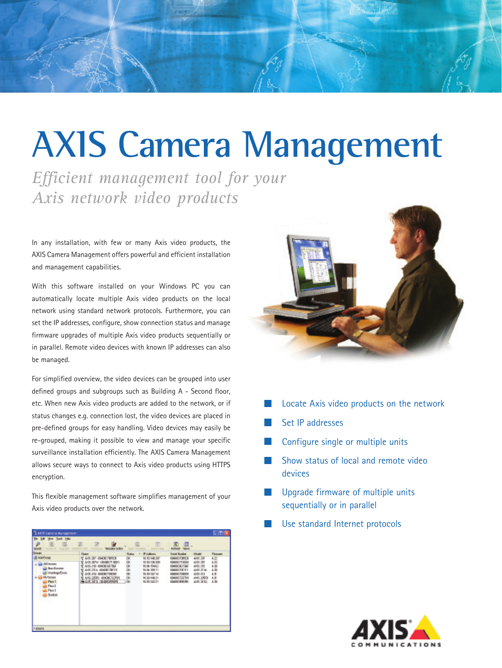## **AXIS Camera Management**

*Efficient management tool for your Axis network video products*

In any installation, with few or many Axis video products, the AXIS Camera Management offers powerful and efficient installation and management capabilities.

With this software installed on your Windows PC you can automatically locate multiple Axis video products on the local network using standard network protocols. Furthermore, you can set the IP addresses, configure, show connection status and manage firmware upgrades of multiple Axis video products sequentially or in parallel. Remote video devices with known IP addresses can also be managed.

For simplified overview, the video devices can be grouped into user defined groups and subgroups such as Building A - Second floor, etc. When new Axis video products are added to the network, or if status changes e.g. connection lost, the video devices are placed in pre-defined groups for easy handling. Video devices may easily be re-grouped, making it possible to view and manage your specific surveillance installation efficiently. The AXIS Camera Management allows secure ways to connect to Axis video products using HTTPS encryption.

This flexible management software simplifies management of your Axis video products over the network.

| 1. All 5 Earlors Management                                                                                                                                       |                                                                                                                                                                       |                                       |                                                                                                                                                           |                                                                                                                                           |                                                                                              |                                                                        |
|-------------------------------------------------------------------------------------------------------------------------------------------------------------------|-----------------------------------------------------------------------------------------------------------------------------------------------------------------------|---------------------------------------|-----------------------------------------------------------------------------------------------------------------------------------------------------------|-------------------------------------------------------------------------------------------------------------------------------------------|----------------------------------------------------------------------------------------------|------------------------------------------------------------------------|
| DR Your Tech Hele<br><b>MAGE BY</b><br><b>Groups</b>                                                                                                              | R<br><b>WIDAN KRH</b>                                                                                                                                                 |                                       | 面                                                                                                                                                         | 圆<br>IШ<br><b>Digital</b><br><b>Barbaratt</b>                                                                                             |                                                                                              |                                                                        |
| <b><i>lighthous</i></b><br><b><i>SECRATE</i></b><br><b>Barlinia</b><br><b>Hankquithon</b><br>Myltickie<br>Floor T<br>First 1<br>Flood<br>Busines<br><b>FROMTS</b> | <b>Please</b><br>TAK-37-BOUTOU<br>ASS JEN - OBJECT SEC<br>ANG 241-814 CASA PAGE<br>ASEZEA BROEZHTE<br>AND THE GENERATORS<br>AN-250-4H00727H<br><b>PERSONAL LICENS</b> | Guitar<br>OK<br>B.<br>DF.<br>OK<br>DK | <b>F.Ialians</b><br>$\blacksquare$<br><b>N.95146.30</b><br><b>N.K.18.35</b><br>10.84 154 (C)<br><b>N.H.WITI</b><br><b>NETEN</b><br>机阶梯台<br><b>NIGHOTI</b> | <b>Grand Guraker</b><br>14007893<br><b>ISBN 77,804</b><br>040030766<br><b>GARGZX11</b><br><b>ISBN CARDS</b><br>040022596<br>(140)(374,95) | Informated<br>AN 298<br>499.205<br>485.280<br>465,2746<br>4941.254<br>4945 22678<br>49412610 | <b>Firmmer</b><br>4.32<br>4.33<br>4.93<br>4.36<br>4.31<br>4.31<br>A.TH |



- Locate Axis video products on the network
- Set IP addresses
- Configure single or multiple units
- Show status of local and remote video devices
- Upgrade firmware of multiple units sequentially or in parallel
- Use standard Internet protocols